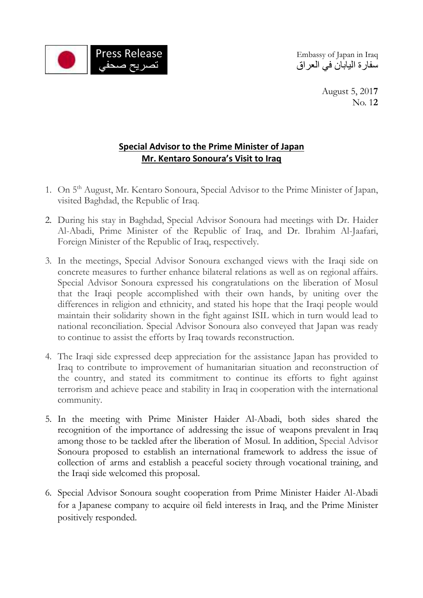

سفارة اليابان في العراق

August 5, 201**7** No. 1**2**

## **Special Advisor to the Prime Minister of Japan Mr. Kentaro Sonoura's Visit to Iraq**

- 1. On 5<sup>th</sup> August, Mr. Kentaro Sonoura, Special Advisor to the Prime Minister of Japan, visited Baghdad, the Republic of Iraq.
- 2. During his stay in Baghdad, Special Advisor Sonoura had meetings with Dr. Haider Al-Abadi, Prime Minister of the Republic of Iraq, and Dr. Ibrahim Al-Jaafari, Foreign Minister of the Republic of Iraq, respectively.
- 3. In the meetings, Special Advisor Sonoura exchanged views with the Iraqi side on concrete measures to further enhance bilateral relations as well as on regional affairs. Special Advisor Sonoura expressed his congratulations on the liberation of Mosul that the Iraqi people accomplished with their own hands, by uniting over the differences in religion and ethnicity, and stated his hope that the Iraqi people would maintain their solidarity shown in the fight against ISIL which in turn would lead to national reconciliation. Special Advisor Sonoura also conveyed that Japan was ready to continue to assist the efforts by Iraq towards reconstruction.
- 4. The Iraqi side expressed deep appreciation for the assistance Japan has provided to Iraq to contribute to improvement of humanitarian situation and reconstruction of the country, and stated its commitment to continue its efforts to fight against terrorism and achieve peace and stability in Iraq in cooperation with the international community.
- 5. In the meeting with Prime Minister Haider Al-Abadi, both sides shared the recognition of the importance of addressing the issue of weapons prevalent in Iraq among those to be tackled after the liberation of Mosul. In addition, Special Advisor Sonoura proposed to establish an international framework to address the issue of collection of arms and establish a peaceful society through vocational training, and the Iraqi side welcomed this proposal.
- 6. Special Advisor Sonoura sought cooperation from Prime Minister Haider Al-Abadi for a Japanese company to acquire oil field interests in Iraq, and the Prime Minister positively responded.